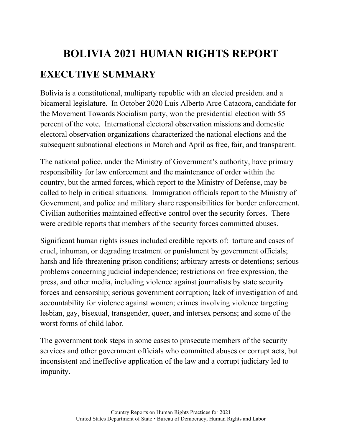# **BOLIVIA 2021 HUMAN RIGHTS REPORT EXECUTIVE SUMMARY**

Bolivia is a constitutional, multiparty republic with an elected president and a bicameral legislature. In October 2020 Luis Alberto Arce Catacora, candidate for the Movement Towards Socialism party, won the presidential election with 55 percent of the vote. International electoral observation missions and domestic electoral observation organizations characterized the national elections and the subsequent subnational elections in March and April as free, fair, and transparent.

The national police, under the Ministry of Government's authority, have primary responsibility for law enforcement and the maintenance of order within the country, but the armed forces, which report to the Ministry of Defense, may be called to help in critical situations. Immigration officials report to the Ministry of Government, and police and military share responsibilities for border enforcement. Civilian authorities maintained effective control over the security forces. There were credible reports that members of the security forces committed abuses.

Significant human rights issues included credible reports of: torture and cases of cruel, inhuman, or degrading treatment or punishment by government officials; harsh and life-threatening prison conditions; arbitrary arrests or detentions; serious problems concerning judicial independence; restrictions on free expression, the press, and other media, including violence against journalists by state security forces and censorship; serious government corruption; lack of investigation of and accountability for violence against women; crimes involving violence targeting lesbian, gay, bisexual, transgender, queer, and intersex persons; and some of the worst forms of child labor.

The government took steps in some cases to prosecute members of the security services and other government officials who committed abuses or corrupt acts, but inconsistent and ineffective application of the law and a corrupt judiciary led to impunity.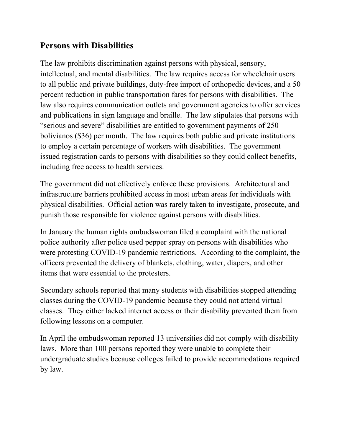#### **Persons with Disabilities**

The law prohibits discrimination against persons with physical, sensory, intellectual, and mental disabilities. The law requires access for wheelchair users to all public and private buildings, duty-free import of orthopedic devices, and a 50 percent reduction in public transportation fares for persons with disabilities. The law also requires communication outlets and government agencies to offer services and publications in sign language and braille. The law stipulates that persons with "serious and severe" disabilities are entitled to government payments of 250 bolivianos (\$36) per month. The law requires both public and private institutions to employ a certain percentage of workers with disabilities. The government issued registration cards to persons with disabilities so they could collect benefits, including free access to health services.

The government did not effectively enforce these provisions. Architectural and infrastructure barriers prohibited access in most urban areas for individuals with physical disabilities. Official action was rarely taken to investigate, prosecute, and punish those responsible for violence against persons with disabilities.

In January the human rights ombudswoman filed a complaint with the national police authority after police used pepper spray on persons with disabilities who were protesting COVID-19 pandemic restrictions. According to the complaint, the officers prevented the delivery of blankets, clothing, water, diapers, and other items that were essential to the protesters.

Secondary schools reported that many students with disabilities stopped attending classes during the COVID-19 pandemic because they could not attend virtual classes. They either lacked internet access or their disability prevented them from following lessons on a computer.

In April the ombudswoman reported 13 universities did not comply with disability laws. More than 100 persons reported they were unable to complete their undergraduate studies because colleges failed to provide accommodations required by law.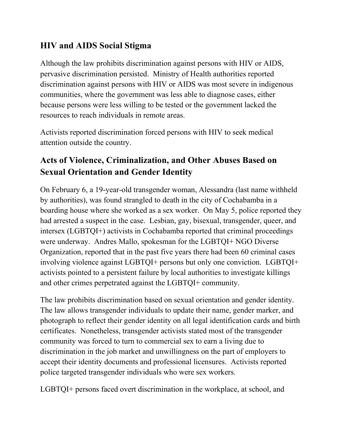#### **HIV and AIDS Social Stigma**

Although the law prohibits discrimination against persons with HIV or AIDS, pervasive discrimination persisted. Ministry of Health authorities reported discrimination against persons with HIV or AIDS was most severe in indigenous communities, where the government was less able to diagnose cases, either because persons were less willing to be tested or the government lacked the resources to reach individuals in remote areas.

Activists reported discrimination forced persons with HIV to seek medical attention outside the country.

## **Acts of Violence, Criminalization, and Other Abuses Based on Sexual Orientation and Gender Identity**

On February 6, a 19-year-old transgender woman, Alessandra (last name withheld by authorities), was found strangled to death in the city of Cochabamba in a boarding house where she worked as a sex worker. On May 5, police reported they had arrested a suspect in the case. Lesbian, gay, bisexual, transgender, queer, and intersex (LGBTQI+) activists in Cochabamba reported that criminal proceedings were underway. Andres Mallo, spokesman for the LGBTQI+ NGO Diverse Organization, reported that in the past five years there had been 60 criminal cases involving violence against LGBTQI+ persons but only one conviction. LGBTQI+ activists pointed to a persistent failure by local authorities to investigate killings and other crimes perpetrated against the LGBTQI+ community.

The law prohibits discrimination based on sexual orientation and gender identity. The law allows transgender individuals to update their name, gender marker, and photograph to reflect their gender identity on all legal identification cards and birth certificates. Nonetheless, transgender activists stated most of the transgender community was forced to turn to commercial sex to earn a living due to discrimination in the job market and unwillingness on the part of employers to accept their identity documents and professional licensures. Activists reported police targeted transgender individuals who were sex workers.

LGBTQI+ persons faced overt discrimination in the workplace, at school, and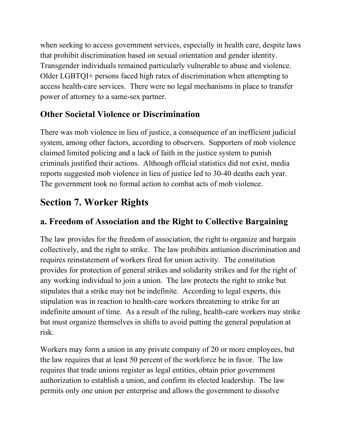when seeking to access government services, especially in health care, despite laws that prohibit discrimination based on sexual orientation and gender identity. Transgender individuals remained particularly vulnerable to abuse and violence. Older LGBTQI+ persons faced high rates of discrimination when attempting to access health-care services. There were no legal mechanisms in place to transfer power of attorney to a same-sex partner.

### **Other Societal Violence or Discrimination**

There was mob violence in lieu of justice, a consequence of an inefficient judicial system, among other factors, according to observers. Supporters of mob violence claimed limited policing and a lack of faith in the justice system to punish criminals justified their actions. Although official statistics did not exist, media reports suggested mob violence in lieu of justice led to 30-40 deaths each year. The government took no formal action to combat acts of mob violence.

# **Section 7. Worker Rights**

#### **a. Freedom of Association and the Right to Collective Bargaining**

The law provides for the freedom of association, the right to organize and bargain collectively, and the right to strike. The law prohibits antiunion discrimination and requires reinstatement of workers fired for union activity. The constitution provides for protection of general strikes and solidarity strikes and for the right of any working individual to join a union. The law protects the right to strike but stipulates that a strike may not be indefinite. According to legal experts, this stipulation was in reaction to health-care workers threatening to strike for an indefinite amount of time. As a result of the ruling, health-care workers may strike but must organize themselves in shifts to avoid putting the general population at risk.

Workers may form a union in any private company of 20 or more employees, but the law requires that at least 50 percent of the workforce be in favor. The law requires that trade unions register as legal entities, obtain prior government authorization to establish a union, and confirm its elected leadership. The law permits only one union per enterprise and allows the government to dissolve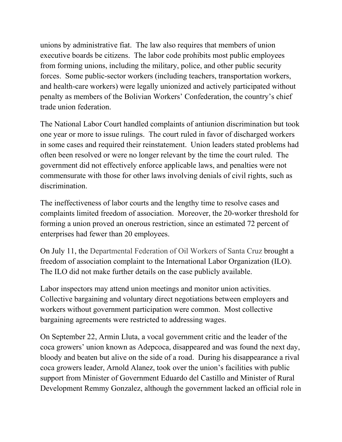unions by administrative fiat. The law also requires that members of union executive boards be citizens. The labor code prohibits most public employees from forming unions, including the military, police, and other public security forces. Some public-sector workers (including teachers, transportation workers, and health-care workers) were legally unionized and actively participated without penalty as members of the Bolivian Workers' Confederation, the country's chief trade union federation.

The National Labor Court handled complaints of antiunion discrimination but took one year or more to issue rulings. The court ruled in favor of discharged workers in some cases and required their reinstatement. Union leaders stated problems had often been resolved or were no longer relevant by the time the court ruled. The government did not effectively enforce applicable laws, and penalties were not commensurate with those for other laws involving denials of civil rights, such as discrimination.

The ineffectiveness of labor courts and the lengthy time to resolve cases and complaints limited freedom of association. Moreover, the 20-worker threshold for forming a union proved an onerous restriction, since an estimated 72 percent of enterprises had fewer than 20 employees.

On July 11, the Departmental Federation of Oil Workers of Santa Cruz brought a freedom of association complaint to the International Labor Organization (ILO). The ILO did not make further details on the case publicly available.

Labor inspectors may attend union meetings and monitor union activities. Collective bargaining and voluntary direct negotiations between employers and workers without government participation were common. Most collective bargaining agreements were restricted to addressing wages.

On September 22, Armin Lluta, a vocal government critic and the leader of the coca growers' union known as Adepcoca, disappeared and was found the next day, bloody and beaten but alive on the side of a road. During his disappearance a rival coca growers leader, Arnold Alanez, took over the union's facilities with public support from Minister of Government Eduardo del Castillo and Minister of Rural Development Remmy Gonzalez, although the government lacked an official role in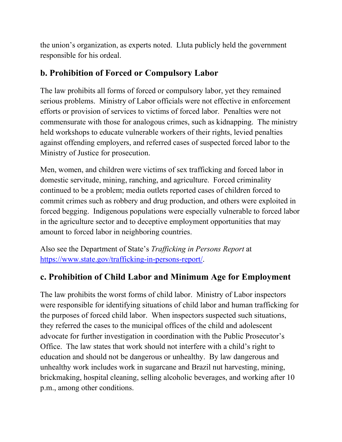the union's organization, as experts noted. Lluta publicly held the government responsible for his ordeal.

#### **b. Prohibition of Forced or Compulsory Labor**

The law prohibits all forms of forced or compulsory labor, yet they remained serious problems. Ministry of Labor officials were not effective in enforcement efforts or provision of services to victims of forced labor. Penalties were not commensurate with those for analogous crimes, such as kidnapping. The ministry held workshops to educate vulnerable workers of their rights, levied penalties against offending employers, and referred cases of suspected forced labor to the Ministry of Justice for prosecution.

Men, women, and children were victims of sex trafficking and forced labor in domestic servitude, mining, ranching, and agriculture. Forced criminality continued to be a problem; media outlets reported cases of children forced to commit crimes such as robbery and drug production, and others were exploited in forced begging. Indigenous populations were especially vulnerable to forced labor in the agriculture sector and to deceptive employment opportunities that may amount to forced labor in neighboring countries.

Also see the Department of State's *Trafficking in Persons Report* at [https://www.state.gov/trafficking-in-persons-report/.](https://www.state.gov/trafficking-in-persons-report/)

#### **c. Prohibition of Child Labor and Minimum Age for Employment**

The law prohibits the worst forms of child labor. Ministry of Labor inspectors were responsible for identifying situations of child labor and human trafficking for the purposes of forced child labor. When inspectors suspected such situations, they referred the cases to the municipal offices of the child and adolescent advocate for further investigation in coordination with the Public Prosecutor's Office. The law states that work should not interfere with a child's right to education and should not be dangerous or unhealthy. By law dangerous and unhealthy work includes work in sugarcane and Brazil nut harvesting, mining, brickmaking, hospital cleaning, selling alcoholic beverages, and working after 10 p.m., among other conditions.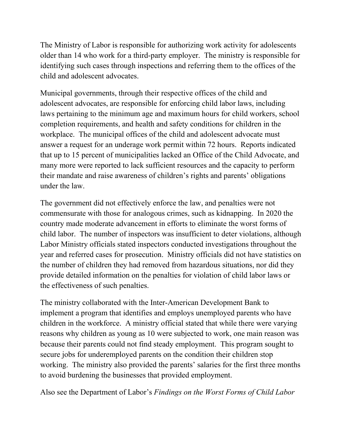The Ministry of Labor is responsible for authorizing work activity for adolescents older than 14 who work for a third-party employer. The ministry is responsible for identifying such cases through inspections and referring them to the offices of the child and adolescent advocates.

Municipal governments, through their respective offices of the child and adolescent advocates, are responsible for enforcing child labor laws, including laws pertaining to the minimum age and maximum hours for child workers, school completion requirements, and health and safety conditions for children in the workplace. The municipal offices of the child and adolescent advocate must answer a request for an underage work permit within 72 hours. Reports indicated that up to 15 percent of municipalities lacked an Office of the Child Advocate, and many more were reported to lack sufficient resources and the capacity to perform their mandate and raise awareness of children's rights and parents' obligations under the law.

The government did not effectively enforce the law, and penalties were not commensurate with those for analogous crimes, such as kidnapping. In 2020 the country made moderate advancement in efforts to eliminate the worst forms of child labor. The number of inspectors was insufficient to deter violations, although Labor Ministry officials stated inspectors conducted investigations throughout the year and referred cases for prosecution. Ministry officials did not have statistics on the number of children they had removed from hazardous situations, nor did they provide detailed information on the penalties for violation of child labor laws or the effectiveness of such penalties.

The ministry collaborated with the Inter-American Development Bank to implement a program that identifies and employs unemployed parents who have children in the workforce. A ministry official stated that while there were varying reasons why children as young as 10 were subjected to work, one main reason was because their parents could not find steady employment. This program sought to secure jobs for underemployed parents on the condition their children stop working. The ministry also provided the parents' salaries for the first three months to avoid burdening the businesses that provided employment.

Also see the Department of Labor's *Findings on the Worst Forms of Child Labor*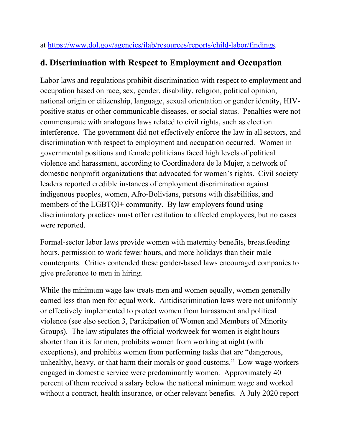at [https://www.dol.gov/agencies/ilab/resources/reports/child-labor/findings.](https://www.dol.gov/agencies/ilab/resources/reports/child-labor/findings/)

#### **d. Discrimination with Respect to Employment and Occupation**

Labor laws and regulations prohibit discrimination with respect to employment and occupation based on race, sex, gender, disability, religion, political opinion, national origin or citizenship, language, sexual orientation or gender identity, HIVpositive status or other communicable diseases, or social status. Penalties were not commensurate with analogous laws related to civil rights, such as election interference. The government did not effectively enforce the law in all sectors, and discrimination with respect to employment and occupation occurred. Women in governmental positions and female politicians faced high levels of political violence and harassment, according to Coordinadora de la Mujer, a network of domestic nonprofit organizations that advocated for women's rights. Civil society leaders reported credible instances of employment discrimination against indigenous peoples, women, Afro-Bolivians, persons with disabilities, and members of the LGBTQI+ community. By law employers found using discriminatory practices must offer restitution to affected employees, but no cases were reported.

Formal-sector labor laws provide women with maternity benefits, breastfeeding hours, permission to work fewer hours, and more holidays than their male counterparts. Critics contended these gender-based laws encouraged companies to give preference to men in hiring.

While the minimum wage law treats men and women equally, women generally earned less than men for equal work. Antidiscrimination laws were not uniformly or effectively implemented to protect women from harassment and political violence (see also section 3, Participation of Women and Members of Minority Groups). The law stipulates the official workweek for women is eight hours shorter than it is for men, prohibits women from working at night (with exceptions), and prohibits women from performing tasks that are "dangerous, unhealthy, heavy, or that harm their morals or good customs." Low-wage workers engaged in domestic service were predominantly women. Approximately 40 percent of them received a salary below the national minimum wage and worked without a contract, health insurance, or other relevant benefits. A July 2020 report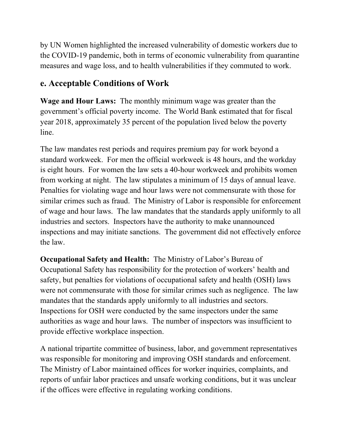by UN Women highlighted the increased vulnerability of domestic workers due to the COVID-19 pandemic, both in terms of economic vulnerability from quarantine measures and wage loss, and to health vulnerabilities if they commuted to work.

#### **e. Acceptable Conditions of Work**

**Wage and Hour Laws:** The monthly minimum wage was greater than the government's official poverty income. The World Bank estimated that for fiscal year 2018, approximately 35 percent of the population lived below the poverty line.

The law mandates rest periods and requires premium pay for work beyond a standard workweek. For men the official workweek is 48 hours, and the workday is eight hours. For women the law sets a 40-hour workweek and prohibits women from working at night. The law stipulates a minimum of 15 days of annual leave. Penalties for violating wage and hour laws were not commensurate with those for similar crimes such as fraud. The Ministry of Labor is responsible for enforcement of wage and hour laws. The law mandates that the standards apply uniformly to all industries and sectors. Inspectors have the authority to make unannounced inspections and may initiate sanctions. The government did not effectively enforce the law.

**Occupational Safety and Health:** The Ministry of Labor's Bureau of Occupational Safety has responsibility for the protection of workers' health and safety, but penalties for violations of occupational safety and health (OSH) laws were not commensurate with those for similar crimes such as negligence. The law mandates that the standards apply uniformly to all industries and sectors. Inspections for OSH were conducted by the same inspectors under the same authorities as wage and hour laws. The number of inspectors was insufficient to provide effective workplace inspection.

A national tripartite committee of business, labor, and government representatives was responsible for monitoring and improving OSH standards and enforcement. The Ministry of Labor maintained offices for worker inquiries, complaints, and reports of unfair labor practices and unsafe working conditions, but it was unclear if the offices were effective in regulating working conditions.